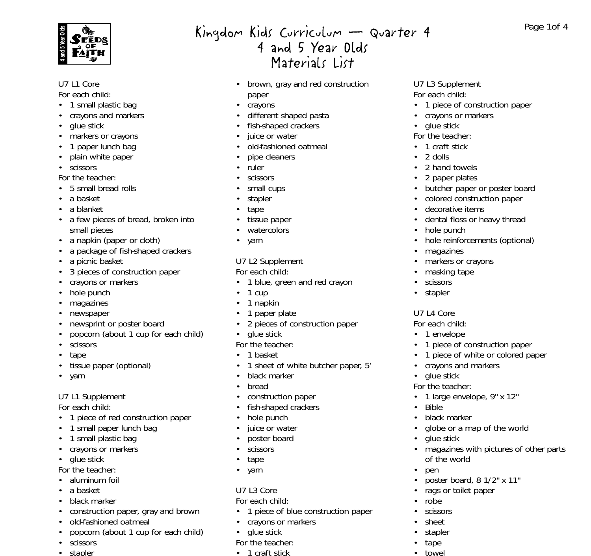

#### U7 L1 Core

*For each child:*

- 1 small plastic bag
- crayons and markers
- glue stick
- markers or crayons
- 1 paper lunch bag
- plain white paper
- scissors

*For the teacher:*

- 5 small bread rolls
- a basket
- a blanket
- a few pieces of bread, broken into small pieces
- a napkin (paper or cloth)
- a package of fish-shaped crackers
- a picnic basket
- 3 pieces of construction paper
- crayons or markers
- hole punch
- magazines
- newspaper
- newsprint or poster board
- popcorn (about 1 cup for each child)
- scissors
- tape
- tissue paper (optional)
- yarn

# U7 L1 Supplement

*For each child:*

- 1 piece of red construction paper
- 1 small paper lunch bag
- 1 small plastic bag
- crayons or markers
- glue stick

*For the teacher:*

- aluminum foil
- a basket
- black marker
- construction paper, gray and brown
- old-fashioned oatmeal
- popcorn (about 1 cup for each child)
- scissors
- stapler

# Kingdom Kids Curriculum – Quarter 4 4 and 5 Year Olds Materials List

- brown, gray and red construction paper
- crayons
- different shaped pasta
- fish-shaped crackers
- juice or water
- old-fashioned oatmeal
- pipe cleaners
- ruler
- **scissors**
- small cups
- stapler
- tape
- tissue paper
- watercolors
- yarn

# U7 L2 Supplement

*For each child:*

- 1 blue, green and red crayon
- $\cdot$  1 cup
- 1 napkin
- 1 paper plate
- 2 pieces of construction paper
- glue stick
- *For the teacher:*
- 1 basket
- 1 sheet of white butcher paper, 5'
- black marker
- bread
- construction paper
- fish-shaped crackers
- hole punch
- juice or water
- poster board
- scissors
- tape
- yarn

# U7 L3 Core

*For each child:*

- 1 piece of blue construction paper
- crayons or markers
- glue stick
- *For the teacher:*
- 1 craft stick
- U7 L3 Supplement *For each child:*
- 1 piece of construction paper

Page 1of 4

- crayons or markers
- glue stick
- *For the teacher:*
- 1 craft stick
- 2 dolls
- 2 hand towels

• hole punch

• magazines

U7 L4 Core *For each child:* • 1 envelope

• glue stick *For the teacher:*

glue stick

of the world

• Bible • black marker

• pen

• robe • scissors • sheet • stapler • tape • towel

- 2 paper plates
- butcher paper or poster board

• hole reinforcements (optional)

• 1 piece of construction paper • 1 piece of white or colored paper

• crayons and markers

• 1 large envelope, 9" x 12"

• globe or a map of the world

• poster board, 8 1/2" x 11" • rags or toilet paper

• magazines with pictures of other parts

• colored construction paper

decorative items • dental floss or heavy thread

• markers or crayons • masking tape • scissors • stapler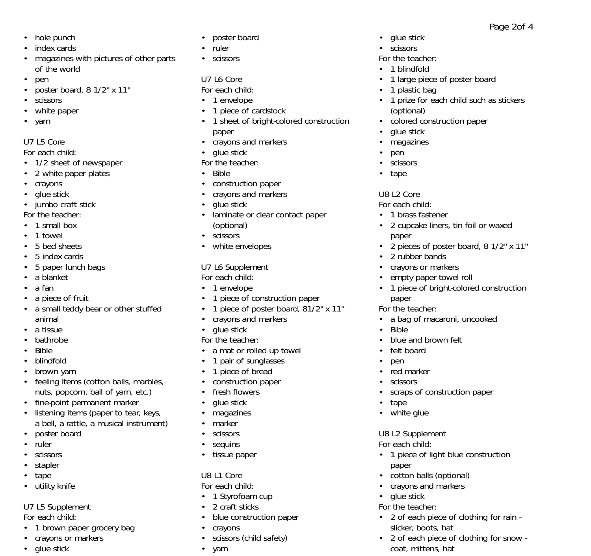Page 2of 4

- hole punch
- index cards
- magazines with pictures of other parts of the world
- pen
- poster board, 8 1/2" x 11"
- scissors
- white paper
- yarn

# U7 L5 Core

### *For each child:*

- 1/2 sheet of newspaper
- 2 white paper plates
- crayons
- glue stick
- jumbo craft stick
- *For the teacher:*
- 1 small box
- 1 towel
- 5 bed sheets
- 5 index cards
- 5 paper lunch bags
- a blanket
- a fan
- a piece of fruit
- a small teddy bear or other stuffed animal
- a tissue
- bathrobe
- Bible
- blindfold
- brown yarn
- feeling items (cotton balls, marbles, nuts, popcorn, ball of yarn, etc.)
- fine-point permanent marker
- listening items (paper to tear, keys, a bell, a rattle, a musical instrument)
- poster board
- ruler
- scissors
- stapler
- tape
- utility knife

# U7 L5 Supplement

*For each child:*

- 1 brown paper grocery bag
- crayons or markers
- glue stick *Fh h*
- poster board
- ruler
- scissors

# U7 L6 Core

*For each child:*

- 1 envelope
- 1 piece of cardstock
- 1 sheet of bright-colored construction paper
- crayons and markers
- glue stick

### *For the teacher:*

- Bible
- construction paper
- crayons and markers
- glue stick
- laminate or clear contact paper (optional)
- scissors
- white envelopes

#### U7 L6 Supplement *For each child:*

- 1 envelope
- 1 piece of construction paper
- 1 piece of poster board, 81/2" x 11"
- crayons and markers
- glue stick

# *For the teacher:*

- a mat or rolled up towel
- 1 pair of sunglasses
- 1 piece of bread
- construction paper
- fresh flowers
- glue stick
- magazines
- marker
- scissors
- sequins
- tissue paper

# U8 L1 Core

- *For each child:*
- 1 Styrofoam cup
- 2 craft sticks
- blue construction paper
- crayons
- scissors (child safety)
- yarn
- *Fh h*
- glue stick
- scissors

### *For the teacher:*

- 1 blindfold
- 1 large piece of poster board
- 1 plastic bag
- 1 prize for each child such as stickers (optional)

• 2 cupcake liners, tin foil or waxed

• 2 pieces of poster board, 8 1/2" x 11"

• 1 piece of bright-colored construction

• a bag of macaroni, uncooked

• scraps of construction paper

• 1 piece of light blue construction

• 2 of each piece of clothing for rain -

• 2 of each piece of clothing for snow -

. . . . . . . .

• blue and brown felt

- colored construction paper
- glue stick
- magazines

U8 L2 Core *For each child:* • 1 brass fastener

paper

paper *For the teacher:*

• felt board • pen • red marker • scissors

• Bible

• tape • white glue

U8 L2 Supplement *For each child:*

• cotton balls (optional) • crayons and markers

slicker, boots, hat

coat, mittens, hat

paper

• glue stick *For the teacher:*

• 2 rubber bands • crayons or markers • empty paper towel roll

• pen • scissors • tape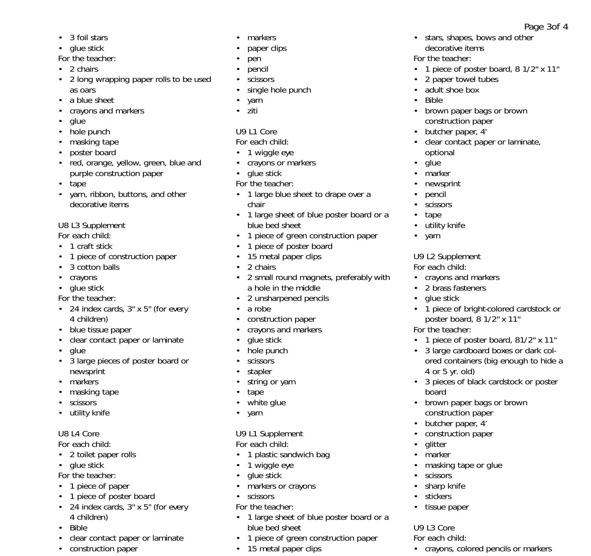- 3 foil stars
- glue stick
- *For the teacher:*
- 2 chairs
- 2 long wrapping paper rolls to be used as oars
- a blue sheet
- crayons and markers
- glue
- hole punch
- masking tape
- poster board
- red, orange, yellow, green, blue and purple construction paper
- tape
- yarn, ribbon, buttons, and other decorative items

### U8 L3 Supplement

- *For each child:*
- 1 craft stick
- 1 piece of construction paper
- 3 cotton balls
- crayons
- glue stick

*For the teacher:*

- 24 index cards, 3" x 5" (for every 4 children)
- blue tissue paper
- clear contact paper or laminate
- glue
- 3 large pieces of poster board or newsprint
- markers
- masking tape
- scissors
- utility knife

# U8 L4 Core

### *For each child:*

- 2 toilet paper rolls
- glue stick
- *For the teacher:*
- 1 piece of paper
- 1 piece of poster board
- 24 index cards, 3" x 5" (for every 4 children)
- Bible
- clear contact paper or laminate

d k

• construction paper

- markers
- paper clips
- pen
- pencil
- scissors
- single hole punch
- yarn
- ziti

# U9 L1 Core

# *For each child:*

- 1 wiggle eye
- crayons or markers
- glue stick
- *For the teacher:*
- 1 large blue sheet to drape over a chair
- 1 large sheet of blue poster board or a blue bed sheet
- 1 piece of green construction paper
- 1 piece of poster board
- 15 metal paper clips
- 2 chairs
- 2 small round magnets, preferably with a hole in the middle
- 2 unsharpened pencils
- a robe
- construction paper
- crayons and markers
- glue stick
- hole punch
- **scissors**
- stapler
- string or yarn
- tape
- white glue
- yarn

# U9 L1 Supplement

# *For each child:*

- 1 plastic sandwich bag
- 1 wiggle eye
- glue stick
- markers or crayons
- scissors
- *For the teacher:*
- 1 large sheet of blue poster board or a blue bed sheet

2 li dia black i hans black i hans black i hans black i hans black i hans black i hans black i hans black i ha<br>2011 - John Stone Barbon black i hans black i hans black i hans black i hans black i hans black i hans black i

- 1 piece of green construction paper
- 15 metal paper clips
- stars, shapes, bows and other decorative items
- *For the teacher:*
- 1 piece of poster board, 8 1/2" x 11"

Page 3of 4

- 2 paper towel tubes
- adult shoe box
- Bible
- brown paper bags or brown construction paper
- butcher paper, 4'
- clear contact paper or laminate, optional
- glue
- marker
- newsprint

• utility knife • yarn

U9 L2 Supplement *For each child:*

*For the teacher:*

4 or 5 yr. old)

board

• glitter • marker

**scissors** • sharp knife • stickers • tissue paper

U9 L3 Core *For each child:*

l ik

• crayons and markers • 2 brass fasteners • glue stick

• 1 piece of bright-colored cardstock or poster board, 8 1/2" x 11"

• 1 piece of poster board, 81/2" x 11" • 3 large cardboard boxes or dark colored containers (big enough to hide a

• 3 pieces of black cardstock or poster

• brown paper bags or brown construction paper • butcher paper, 4' • construction paper

• masking tape or glue

• crayons, colored pencils or markers

- pencil
- scissors • tape